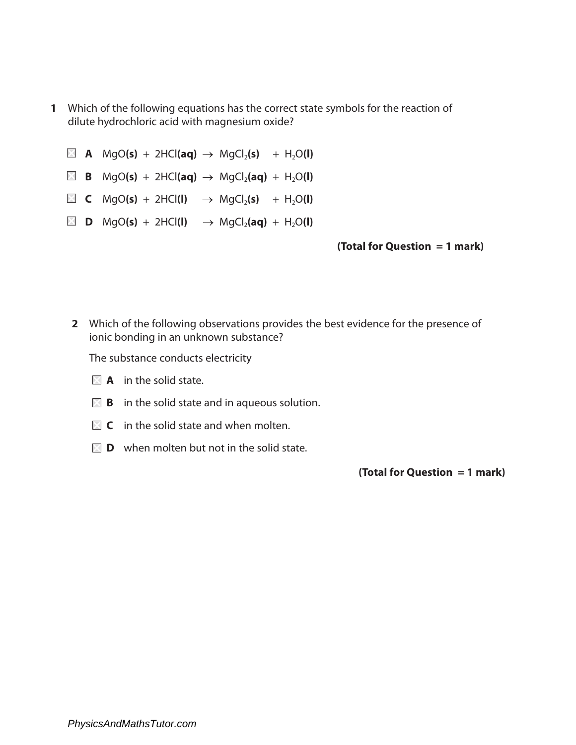- **1** Which of the following equations has the correct state symbols for the reaction of dilute hydrochloric acid with magnesium oxide?
	- $\boxtimes$  **A** MgO(s) + 2HCl(aq)  $\rightarrow$  MgCl<sub>2</sub>(s) + H<sub>2</sub>O(l)
	- $\boxtimes$  **B** MgO(s) + 2HCl(aq)  $\rightarrow$  MgCl<sub>2</sub>(aq) + H<sub>2</sub>O(l)
	- $\boxtimes$  **C** MgO(s) + 2HCl(l)  $\rightarrow$  MgCl<sub>2</sub>(s) + H<sub>2</sub>O(l)
	- $\boxtimes$  **D** MgO(s) + 2HCl(l)  $\rightarrow$  MgCl<sub>2</sub>(aq) + H<sub>2</sub>O(l)

## **(Total for Question = 1 mark)**

**2** Which of the following observations provides the best evidence for the presence of ionic bonding in an unknown substance?

The substance conducts electricity

- **A** in the solid state.
- **B** in the solid state and in aqueous solution.
- **C** in the solid state and when molten.
- **D** when molten but not in the solid state.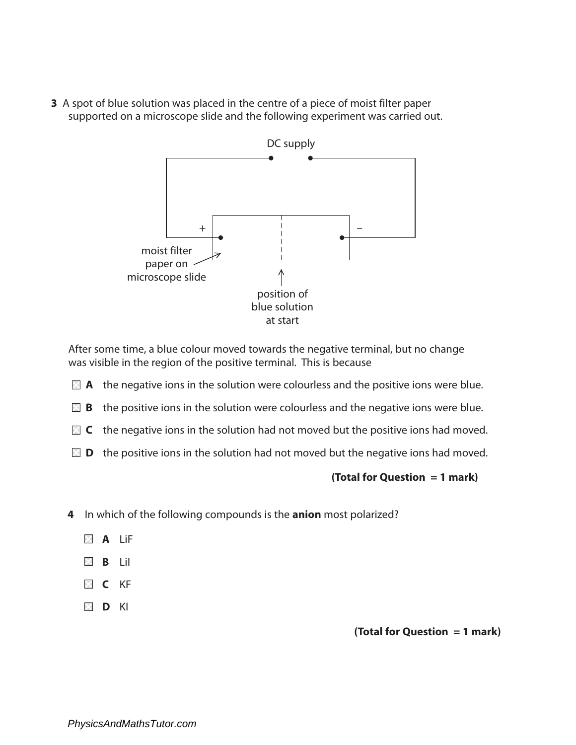**3** A spot of blue solution was placed in the centre of a piece of moist filter paper supported on a microscope slide and the following experiment was carried out.



After some time, a blue colour moved towards the negative terminal, but no change was visible in the region of the positive terminal. This is because

- **A** the negative ions in the solution were colourless and the positive ions were blue.
- **B** the positive ions in the solution were colourless and the negative ions were blue.
- **C** the negative ions in the solution had not moved but the positive ions had moved.
- **D** the positive ions in the solution had not moved but the negative ions had moved.

# **(Total for Question = 1 mark)**

- **4** In which of the following compounds is the **anion** most polarized?
	- **A** LiF
	- **B** LiI
	- **C** KF
	- **D** KI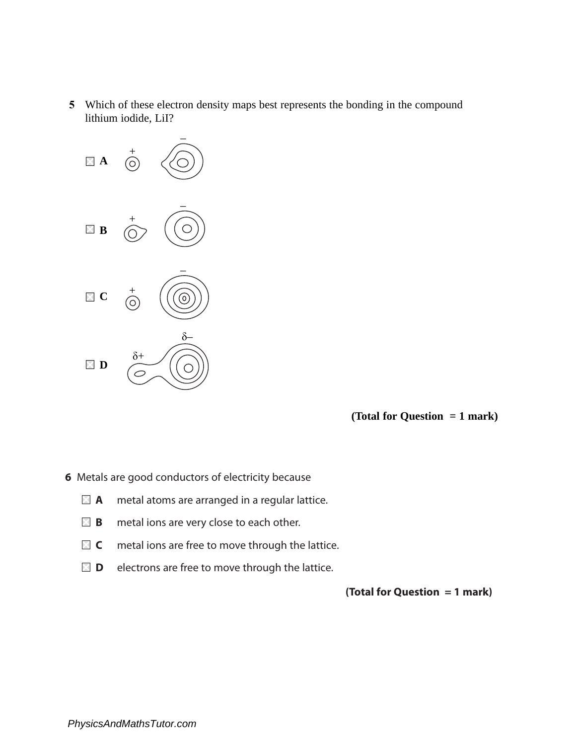**5** Which of these electron density maps best represents the bonding in the compound lithium iodide, LiI?



**(Total for Question = 1 mark)**

**6** Metals are good conductors of electricity because

- **A** metal atoms are arranged in a regular lattice.
- **B B** metal ions are very close to each other.
- **C** metal ions are free to move through the lattice.
- **D** electrons are free to move through the lattice.